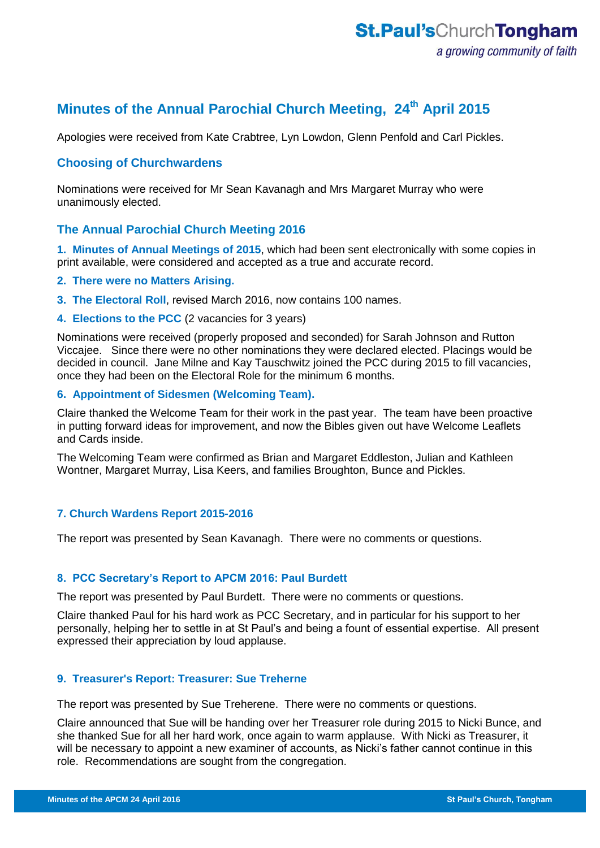# **Minutes of the Annual Parochial Church Meeting, 24th April 2015**

Apologies were received from Kate Crabtree, Lyn Lowdon, Glenn Penfold and Carl Pickles.

# **Choosing of Churchwardens**

Nominations were received for Mr Sean Kavanagh and Mrs Margaret Murray who were unanimously elected.

## **The Annual Parochial Church Meeting 2016**

**1. Minutes of Annual Meetings of 2015**, which had been sent electronically with some copies in print available, were considered and accepted as a true and accurate record.

## **2. There were no Matters Arising.**

- **3. The Electoral Roll**, revised March 2016, now contains 100 names.
- **4. Elections to the PCC** (2 vacancies for 3 years)

Nominations were received (properly proposed and seconded) for Sarah Johnson and Rutton Viccajee. Since there were no other nominations they were declared elected. Placings would be decided in council. Jane Milne and Kay Tauschwitz joined the PCC during 2015 to fill vacancies, once they had been on the Electoral Role for the minimum 6 months.

#### **6. Appointment of Sidesmen (Welcoming Team).**

Claire thanked the Welcome Team for their work in the past year. The team have been proactive in putting forward ideas for improvement, and now the Bibles given out have Welcome Leaflets and Cards inside.

The Welcoming Team were confirmed as Brian and Margaret Eddleston, Julian and Kathleen Wontner, Margaret Murray, Lisa Keers, and families Broughton, Bunce and Pickles.

# **7. Church Wardens Report 2015-2016**

The report was presented by Sean Kavanagh. There were no comments or questions.

#### **8. PCC Secretary's Report to APCM 2016: Paul Burdett**

The report was presented by Paul Burdett. There were no comments or questions.

Claire thanked Paul for his hard work as PCC Secretary, and in particular for his support to her personally, helping her to settle in at St Paul's and being a fount of essential expertise. All present expressed their appreciation by loud applause.

#### **9. Treasurer's Report: Treasurer: Sue Treherne**

The report was presented by Sue Treherene. There were no comments or questions.

Claire announced that Sue will be handing over her Treasurer role during 2015 to Nicki Bunce, and she thanked Sue for all her hard work, once again to warm applause. With Nicki as Treasurer, it will be necessary to appoint a new examiner of accounts, as Nicki's father cannot continue in this role. Recommendations are sought from the congregation.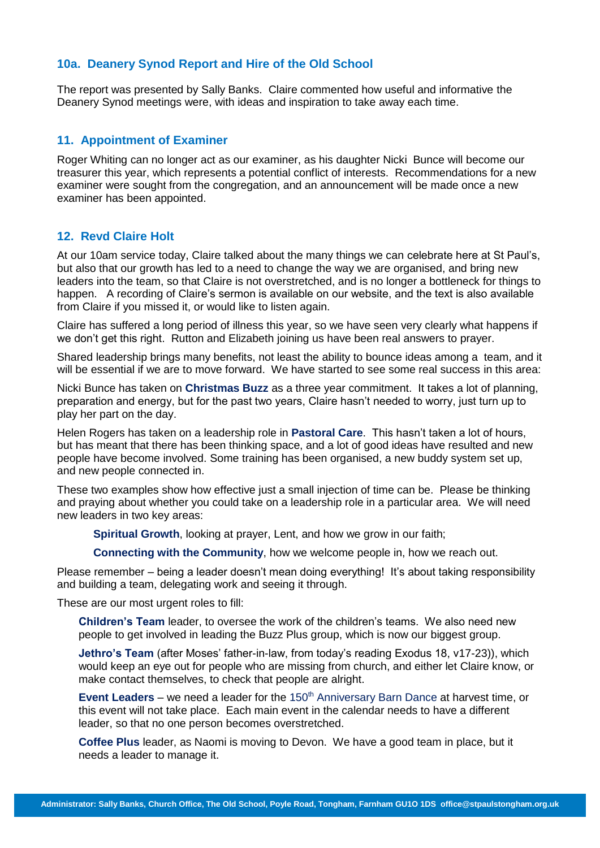## **10a. Deanery Synod Report and Hire of the Old School**

The report was presented by Sally Banks. Claire commented how useful and informative the Deanery Synod meetings were, with ideas and inspiration to take away each time.

### **11. Appointment of Examiner**

Roger Whiting can no longer act as our examiner, as his daughter Nicki Bunce will become our treasurer this year, which represents a potential conflict of interests. Recommendations for a new examiner were sought from the congregation, and an announcement will be made once a new examiner has been appointed.

# **12. Revd Claire Holt**

At our 10am service today, Claire talked about the many things we can celebrate here at St Paul's, but also that our growth has led to a need to change the way we are organised, and bring new leaders into the team, so that Claire is not overstretched, and is no longer a bottleneck for things to happen. A recording of Claire's sermon is available on our website, and the text is also available from Claire if you missed it, or would like to listen again.

Claire has suffered a long period of illness this year, so we have seen very clearly what happens if we don't get this right. Rutton and Elizabeth joining us have been real answers to prayer.

Shared leadership brings many benefits, not least the ability to bounce ideas among a team, and it will be essential if we are to move forward. We have started to see some real success in this area:

Nicki Bunce has taken on **Christmas Buzz** as a three year commitment. It takes a lot of planning, preparation and energy, but for the past two years, Claire hasn't needed to worry, just turn up to play her part on the day.

Helen Rogers has taken on a leadership role in **Pastoral Care**. This hasn't taken a lot of hours, but has meant that there has been thinking space, and a lot of good ideas have resulted and new people have become involved. Some training has been organised, a new buddy system set up, and new people connected in.

These two examples show how effective just a small injection of time can be. Please be thinking and praying about whether you could take on a leadership role in a particular area. We will need new leaders in two key areas:

**Spiritual Growth**, looking at prayer, Lent, and how we grow in our faith;

**Connecting with the Community**, how we welcome people in, how we reach out.

Please remember – being a leader doesn't mean doing everything! It's about taking responsibility and building a team, delegating work and seeing it through.

These are our most urgent roles to fill:

**Children's Team** leader, to oversee the work of the children's teams. We also need new people to get involved in leading the Buzz Plus group, which is now our biggest group.

**Jethro's Team** (after Moses' father-in-law, from today's reading Exodus 18, v17-23)), which would keep an eye out for people who are missing from church, and either let Claire know, or make contact themselves, to check that people are alright.

**Event Leaders** – we need a leader for the 150<sup>th</sup> Anniversary Barn Dance at harvest time, or this event will not take place. Each main event in the calendar needs to have a different leader, so that no one person becomes overstretched.

**Coffee Plus** leader, as Naomi is moving to Devon. We have a good team in place, but it needs a leader to manage it.